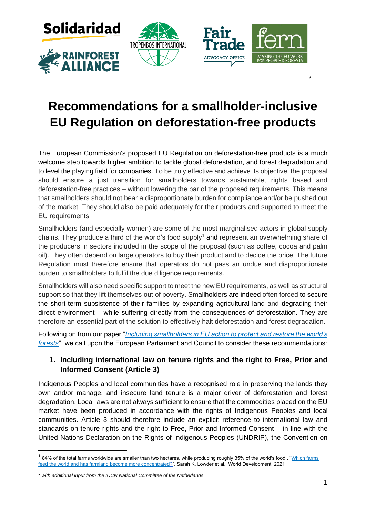







# **Recommendations for a smallholder-inclusive EU Regulation on deforestation-free products**

\*

The European Commission's proposed EU Regulation on deforestation-free products is a much welcome step towards higher ambition to tackle global deforestation, and forest degradation and to level the playing field for companies. To be truly effective and achieve its objective, the proposal should ensure a just transition for smallholders towards sustainable, rights based and deforestation-free practices – without lowering the bar of the proposed requirements. This means that smallholders should not bear a disproportionate burden for compliance and/or be pushed out of the market. They should also be paid adequately for their products and supported to meet the EU requirements.

Smallholders (and especially women) are some of the most marginalised actors in global supply chains. They produce a third of the world's food supply<sup>1</sup> and represent an overwhelming share of the producers in sectors included in the scope of the proposal (such as coffee, cocoa and palm oil). They often depend on large operators to buy their product and to decide the price. The future Regulation must therefore ensure that operators do not pass an undue and disproportionate burden to smallholders to fulfil the due diligence requirements.

Smallholders will also need specific support to meet the new EU requirements, as well as structural support so that they lift themselves out of poverty. Smallholders are indeed often forced to secure the short-term subsistence of their families by expanding agricultural land and degrading their direct environment – while suffering directly from the consequences of deforestation. They are therefore an essential part of the solution to effectively halt deforestation and forest degradation.

Following on from our paper "*[Including smallholders in EU action to protect and restore the world's](https://www.fern.org/fileadmin/uploads/fern/Documents/2021/Briefing-paper-Including-smallholders-EU-action-final.pdf)  [forests](https://www.fern.org/fileadmin/uploads/fern/Documents/2021/Briefing-paper-Including-smallholders-EU-action-final.pdf)*", we call upon the European Parliament and Council to consider these recommendations:

# **1. Including international law on tenure rights and the right to Free, Prior and Informed Consent (Article 3)**

Indigenous Peoples and local communities have a recognised role in preserving the lands they own and/or manage, and insecure land tenure is a major driver of deforestation and forest degradation. Local laws are not always sufficient to ensure that the commodities placed on the EU market have been produced in accordance with the rights of Indigenous Peoples and local communities. Article 3 should therefore include an explicit reference to international law and standards on tenure rights and the right to Free, Prior and Informed Consent – in line with the United Nations Declaration on the Rights of Indigenous Peoples (UNDRIP), the Convention on

 $^1$  84% of the total farms worldwide are smaller than two hectares, while producing roughly 35% of the world's food., "<u>Which farms</u> [feed the world and has farmland become more concentrated?"](https://www.sciencedirect.com/science/article/pii/S0305750X2100067X?via%3Dihub), Sarah K. Lowder et al., World Development, 2021

*<sup>\*</sup> with additional input from the IUCN National Committee of the Netherlands*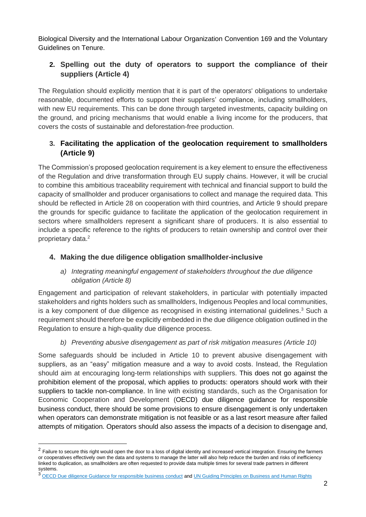Biological Diversity and the International Labour Organization Convention 169 and the Voluntary Guidelines on Tenure.

# **2. Spelling out the duty of operators to support the compliance of their suppliers (Article 4)**

The Regulation should explicitly mention that it is part of the operators' obligations to undertake reasonable, documented efforts to support their suppliers' compliance, including smallholders, with new EU requirements. This can be done through targeted investments, capacity building on the ground, and pricing mechanisms that would enable a living income for the producers, that covers the costs of sustainable and deforestation-free production.

# **3. Facilitating the application of the geolocation requirement to smallholders (Article 9)**

The Commission's proposed geolocation requirement is a key element to ensure the effectiveness of the Regulation and drive transformation through EU supply chains. However, it will be crucial to combine this ambitious traceability requirement with technical and financial support to build the capacity of smallholder and producer organisations to collect and manage the required data. This should be reflected in Article 28 on cooperation with third countries, and Article 9 should prepare the grounds for specific guidance to facilitate the application of the geolocation requirement in sectors where smallholders represent a significant share of producers. It is also essential to include a specific reference to the rights of producers to retain ownership and control over their proprietary data. 2

#### **4. Making the due diligence obligation smallholder-inclusive**

#### *a) Integrating meaningful engagement of stakeholders throughout the due diligence obligation (Article 8)*

Engagement and participation of relevant stakeholders, in particular with potentially impacted stakeholders and rights holders such as smallholders, Indigenous Peoples and local communities, is a key component of due diligence as recognised in existing international guidelines.<sup>3</sup> Such a requirement should therefore be explicitly embedded in the due diligence obligation outlined in the Regulation to ensure a high-quality due diligence process.

### *b) Preventing abusive disengagement as part of risk mitigation measures (Article 10)*

Some safeguards should be included in Article 10 to prevent abusive disengagement with suppliers, as an "easy" mitigation measure and a way to avoid costs. Instead, the Regulation should aim at encouraging long-term relationships with suppliers. This does not go against the prohibition element of the proposal, which applies to products: operators should work with their suppliers to tackle non-compliance. In line with existing standards, such as the Organisation for Economic Cooperation and Development (OECD) due diligence guidance for responsible business conduct, there should be some provisions to ensure disengagement is only undertaken when operators can demonstrate mitigation is not feasible or as a last resort measure after failed attempts of mitigation. Operators should also assess the impacts of a decision to disengage and,

 $^2$  Failure to secure this right would open the door to a loss of digital identity and increased vertical integration. Ensuring the farmers or cooperatives effectively own the data and systems to manage the latter will also help reduce the burden and risks of inefficiency linked to duplication, as smallholders are often requested to provide data multiple times for several trade partners in different systems.

<sup>&</sup>lt;sup>3</sup> [OECD Due diligence Guidance for responsible business conduct](http://mneguidelines.oecd.org/OECD-Due-Diligence-Guidance-for-Responsible-Business-Conduct.pdf) an[d UN Guiding Principles on Business and Human Rights](https://www.ohchr.org/documents/publications/guidingprinciplesbusinesshr_en.pdf)